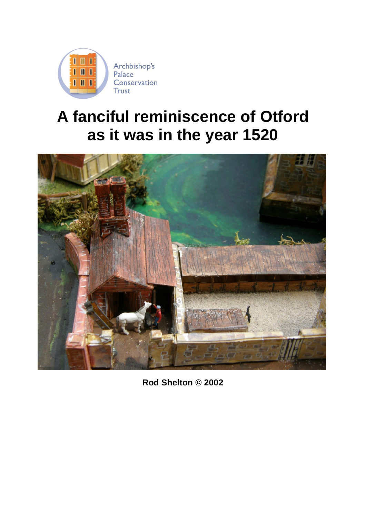

## **A fanciful reminiscence of Otford as it was in the year 1520**



**Rod Shelton © 2002**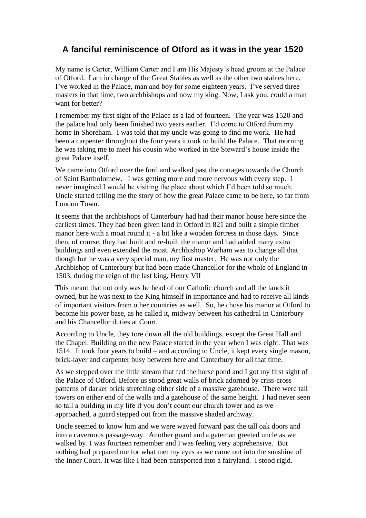## **A fanciful reminiscence of Otford as it was in the year 1520**

My name is Carter, William Carter and I am His Majesty's head groom at the Palace of Otford. I am in charge of the Great Stables as well as the other two stables here. I've worked in the Palace, man and boy for some eighteen years. I've served three masters in that time, two archbishops and now my king. Now, I ask you, could a man want for better?

I remember my first sight of the Palace as a lad of fourteen. The year was 1520 and the palace had only been finished two years earlier. I'd come to Otford from my home in Shoreham. I was told that my uncle was going to find me work. He had been a carpenter throughout the four years it took to build the Palace. That morning he was taking me to meet his cousin who worked in the Steward's house inside the great Palace itself.

We came into Otford over the ford and walked past the cottages towards the Church of Saint Bartholomew. I was getting more and more nervous with every step. I never imagined I would be visiting the place about which I'd been told so much. Uncle started telling me the story of how the great Palace came to be here, so far from London Town.

It seems that the archbishops of Canterbury had had their manor house here since the earliest times. They had been given land in Otford in 821 and built a simple timber manor here with a moat round it - a bit like a wooden fortress in those days. Since then, of course, they had built and re-built the manor and had added many extra buildings and even extended the moat. Archbishop Warham was to change all that though but he was a very special man, my first master. He was not only the Archbishop of Canterbury but had been made Chancellor for the whole of England in 1503, during the reign of the last king, Henry VII

This meant that not only was he head of our Catholic church and all the lands it owned, but he was next to the King himself in importance and had to receive all kinds of important visitors from other countries as well. So, he chose his manor at Otford to become his power base, as he called it, midway between his cathedral in Canterbury and his Chancellor duties at Court.

According to Uncle, they tore down all the old buildings, except the Great Hall and the Chapel. Building on the new Palace started in the year when I was eight. That was 1514. It took four years to build – and according to Uncle, it kept every single mason, brick-layer and carpenter busy between here and Canterbury for all that time.

As we stepped over the little stream that fed the horse pond and I got my first sight of the Palace of Otford. Before us stood great walls of brick adorned by criss-cross patterns of darker brick stretching either side of a massive gatehouse. There were tall towers on either end of the walls and a gatehouse of the same height. I had never seen so tall a building in my life if you don't count our church tower and as we approached, a guard stepped out from the massive shaded archway.

Uncle seemed to know him and we were waved forward past the tall oak doors and into a cavernous passage-way. Another guard and a gateman greeted uncle as we walked by. I was fourteen remember and I was feeling very apprehensive. But nothing had prepared me for what met my eyes as we came out into the sunshine of the Inner Court. It was like I had been transported into a fairyland. I stood rigid.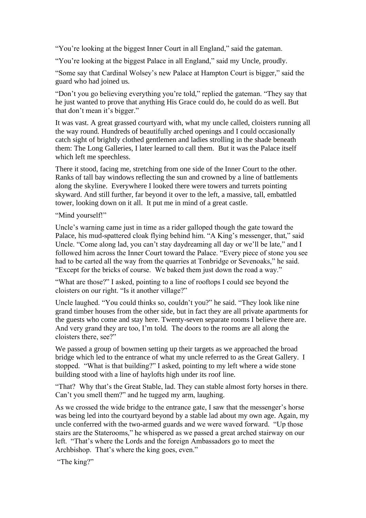"You're looking at the biggest Inner Court in all England," said the gateman.

"You're looking at the biggest Palace in all England," said my Uncle, proudly.

"Some say that Cardinal Wolsey's new Palace at Hampton Court is bigger," said the guard who had joined us.

"Don't you go believing everything you're told," replied the gateman. "They say that he just wanted to prove that anything His Grace could do, he could do as well. But that don't mean it's bigger."

It was vast. A great grassed courtyard with, what my uncle called, cloisters running all the way round. Hundreds of beautifully arched openings and I could occasionally catch sight of brightly clothed gentlemen and ladies strolling in the shade beneath them: The Long Galleries, I later learned to call them. But it was the Palace itself which left me speechless.

There it stood, facing me, stretching from one side of the Inner Court to the other. Ranks of tall bay windows reflecting the sun and crowned by a line of battlements along the skyline. Everywhere I looked there were towers and turrets pointing skyward. And still further, far beyond it over to the left, a massive, tall, embattled tower, looking down on it all. It put me in mind of a great castle.

"Mind yourself!"

Uncle's warning came just in time as a rider galloped though the gate toward the Palace, his mud-spattered cloak flying behind him. "A King's messenger, that," said Uncle. "Come along lad, you can't stay daydreaming all day or we'll be late," and I followed him across the Inner Court toward the Palace. "Every piece of stone you see had to be carted all the way from the quarries at Tonbridge or Sevenoaks," he said. "Except for the bricks of course. We baked them just down the road a way."

"What are those?" I asked, pointing to a line of rooftops I could see beyond the cloisters on our right. "Is it another village?"

Uncle laughed. "You could thinks so, couldn't you?" he said. "They look like nine grand timber houses from the other side, but in fact they are all private apartments for the guests who come and stay here. Twenty-seven separate rooms I believe there are. And very grand they are too, I'm told. The doors to the rooms are all along the cloisters there, see?"

We passed a group of bowmen setting up their targets as we approached the broad bridge which led to the entrance of what my uncle referred to as the Great Gallery. I stopped. "What is that building?" I asked, pointing to my left where a wide stone building stood with a line of haylofts high under its roof line.

"That? Why that's the Great Stable, lad. They can stable almost forty horses in there. Can't you smell them?" and he tugged my arm, laughing.

As we crossed the wide bridge to the entrance gate, I saw that the messenger's horse was being led into the courtyard beyond by a stable lad about my own age. Again, my uncle conferred with the two-armed guards and we were waved forward. "Up those stairs are the Staterooms," he whispered as we passed a great arched stairway on our left. "That's where the Lords and the foreign Ambassadors go to meet the Archbishop. That's where the king goes, even."

"The king?"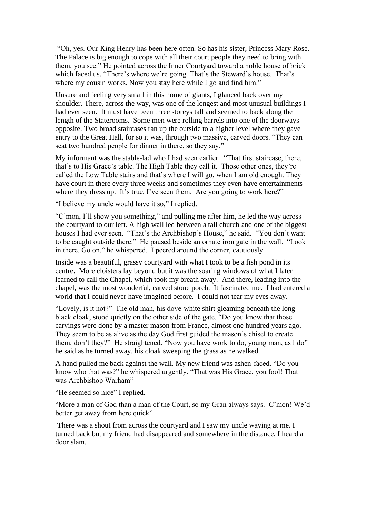"Oh, yes. Our King Henry has been here often. So has his sister, Princess Mary Rose. The Palace is big enough to cope with all their court people they need to bring with them, you see." He pointed across the Inner Courtyard toward a noble house of brick which faced us. "There's where we're going. That's the Steward's house. That's where my cousin works. Now you stay here while I go and find him."

Unsure and feeling very small in this home of giants, I glanced back over my shoulder. There, across the way, was one of the longest and most unusual buildings I had ever seen. It must have been three storeys tall and seemed to back along the length of the Staterooms. Some men were rolling barrels into one of the doorways opposite. Two broad staircases ran up the outside to a higher level where they gave entry to the Great Hall, for so it was, through two massive, carved doors. "They can seat two hundred people for dinner in there, so they say."

My informant was the stable-lad who I had seen earlier. "That first staircase, there, that's to His Grace's table. The High Table they call it. Those other ones, they're called the Low Table stairs and that's where I will go, when I am old enough. They have court in there every three weeks and sometimes they even have entertainments where they dress up. It's true, I've seen them. Are you going to work here?"

"I believe my uncle would have it so," I replied.

"C'mon, I'll show you something," and pulling me after him, he led the way across the courtyard to our left. A high wall led between a tall church and one of the biggest houses I had ever seen. "That's the Archbishop's House," he said. "You don't want to be caught outside there." He paused beside an ornate iron gate in the wall. "Look in there. Go on," he whispered. I peered around the corner, cautiously.

Inside was a beautiful, grassy courtyard with what I took to be a fish pond in its centre. More cloisters lay beyond but it was the soaring windows of what I later learned to call the Chapel, which took my breath away. And there, leading into the chapel, was the most wonderful, carved stone porch. It fascinated me. I had entered a world that I could never have imagined before. I could not tear my eyes away.

"Lovely, is it not?" The old man, his dove-white shirt gleaming beneath the long black cloak, stood quietly on the other side of the gate. "Do you know that those carvings were done by a master mason from France, almost one hundred years ago. They seem to be as alive as the day God first guided the mason's chisel to create them, don't they?" He straightened. "Now you have work to do, young man, as I do" he said as he turned away, his cloak sweeping the grass as he walked.

A hand pulled me back against the wall. My new friend was ashen-faced. "Do you know who that was?" he whispered urgently. "That was His Grace, you fool! That was Archbishop Warham"

"He seemed so nice" I replied.

"More a man of God than a man of the Court, so my Gran always says. C'mon! We'd better get away from here quick"

There was a shout from across the courtyard and I saw my uncle waving at me. I turned back but my friend had disappeared and somewhere in the distance, I heard a door slam.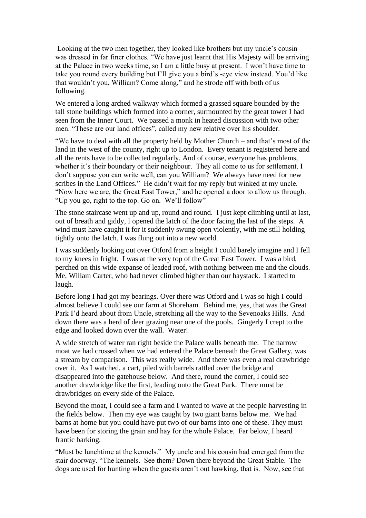Looking at the two men together, they looked like brothers but my uncle's cousin was dressed in far finer clothes. "We have just learnt that His Majesty will be arriving at the Palace in two weeks time, so I am a little busy at present. I won't have time to take you round every building but I'll give you a bird's -eye view instead. You'd like that wouldn't you, William? Come along," and he strode off with both of us following.

We entered a long arched walkway which formed a grassed square bounded by the tall stone buildings which formed into a corner, surmounted by the great tower I had seen from the Inner Court. We passed a monk in heated discussion with two other men. "These are our land offices", called my new relative over his shoulder.

"We have to deal with all the property held by Mother Church – and that's most of the land in the west of the county, right up to London. Every tenant is registered here and all the rents have to be collected regularly. And of course, everyone has problems, whether it's their boundary or their neighbour. They all come to us for settlement. I don't suppose you can write well, can you William? We always have need for new scribes in the Land Offices." He didn't wait for my reply but winked at my uncle. "Now here we are, the Great East Tower," and he opened a door to allow us through. "Up you go, right to the top. Go on. We'll follow"

The stone staircase went up and up, round and round. I just kept climbing until at last, out of breath and giddy, I opened the latch of the door facing the last of the steps. A wind must have caught it for it suddenly swung open violently, with me still holding tightly onto the latch. I was flung out into a new world.

I was suddenly looking out over Otford from a height I could barely imagine and I fell to my knees in fright. I was at the very top of the Great East Tower. I was a bird, perched on this wide expanse of leaded roof, with nothing between me and the clouds. Me, Willam Carter, who had never climbed higher than our haystack. I started to laugh.

Before long I had got my bearings. Over there was Otford and I was so high I could almost believe I could see our farm at Shoreham. Behind me, yes, that was the Great Park I'd heard about from Uncle, stretching all the way to the Sevenoaks Hills. And down there was a herd of deer grazing near one of the pools. Gingerly I crept to the edge and looked down over the wall. Water!

A wide stretch of water ran right beside the Palace walls beneath me. The narrow moat we had crossed when we had entered the Palace beneath the Great Gallery, was a stream by comparison. This was really wide. And there was even a real drawbridge over it. As I watched, a cart, piled with barrels rattled over the bridge and disappeared into the gatehouse below. And there, round the corner, I could see another drawbridge like the first, leading onto the Great Park. There must be drawbridges on every side of the Palace.

Beyond the moat, I could see a farm and I wanted to wave at the people harvesting in the fields below. Then my eye was caught by two giant barns below me. We had barns at home but you could have put two of our barns into one of these. They must have been for storing the grain and hay for the whole Palace. Far below, I heard frantic barking.

"Must be lunchtime at the kennels." My uncle and his cousin had emerged from the stair doorway. "The kennels. See them? Down there beyond the Great Stable. The dogs are used for hunting when the guests aren't out hawking, that is. Now, see that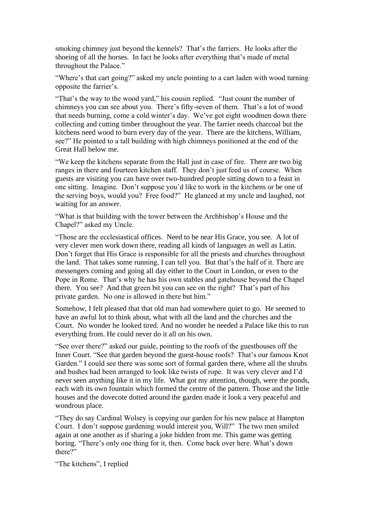smoking chimney just beyond the kennels? That's the farriers. He looks after the shoeing of all the horses. In fact he looks after everything that's made of metal throughout the Palace."

"Where's that cart going?" asked my uncle pointing to a cart laden with wood turning opposite the farrier's.

"That's the way to the wood yard," his cousin replied. "Just count the number of chimneys you can see about you. There's fifty-seven of them. That's a lot of wood that needs burning, come a cold winter's day. We've got eight woodmen down there collecting and cutting timber throughout the year. The farrier needs charcoal but the kitchens need wood to burn every day of the year. There are the kitchens, William, see?" He pointed to a tall building with high chimneys positioned at the end of the Great Hall below me.

"We keep the kitchens separate from the Hall just in case of fire. There are two big ranges in there and fourteen kitchen staff. They don't just feed us of course. When guests are visiting you can have over two-hundred people sitting down to a feast in one sitting. Imagine. Don't suppose you'd like to work in the kitchens or be one of the serving boys, would you? Free food?" He glanced at my uncle and laughed, not waiting for an answer.

"What is that building with the tower between the Archbishop's House and the Chapel?" asked my Uncle.

"Those are the ecclesiastical offices. Need to be near His Grace, you see. A lot of very clever men work down there, reading all kinds of languages as well as Latin. Don't forget that His Grace is responsible for all the priests and churches throughout the land. That takes some running, I can tell you. But that's the half of it. There are messengers coming and going all day either to the Court in London, or even to the Pope in Rome. That's why he has his own stables and gatehouse beyond the Chapel there. You see? And that green bit you can see on the right? That's part of his private garden. No one is allowed in there but him."

Somehow, I felt pleased that that old man had somewhere quiet to go. He seemed to have an awful lot to think about, what with all the land and the churches and the Court. No wonder he looked tired. And no wonder he needed a Palace like this to run everything from. He could never do it all on his own.

"See over there?" asked our guide, pointing to the roofs of the guesthouses off the Inner Court. "See that garden beyond the guest-house roofs? That's our famous Knot Garden." I could see there was some sort of formal garden there, where all the shrubs and bushes had been arranged to look like twists of rope. It was very clever and I'd never seen anything like it in my life. What got my attention, though, were the ponds, each with its own fountain which formed the centre of the pattern. Those and the little houses and the dovecote dotted around the garden made it look a very peaceful and wondrous place.

"They do say Cardinal Wolsey is copying our garden for his new palace at Hampton Court. I don't suppose gardening would interest you, Will?" The two men smiled again at one another as if sharing a joke hidden from me. This game was getting boring. "There's only one thing for it, then. Come back over here. What's down there?"

"The kitchens", I replied